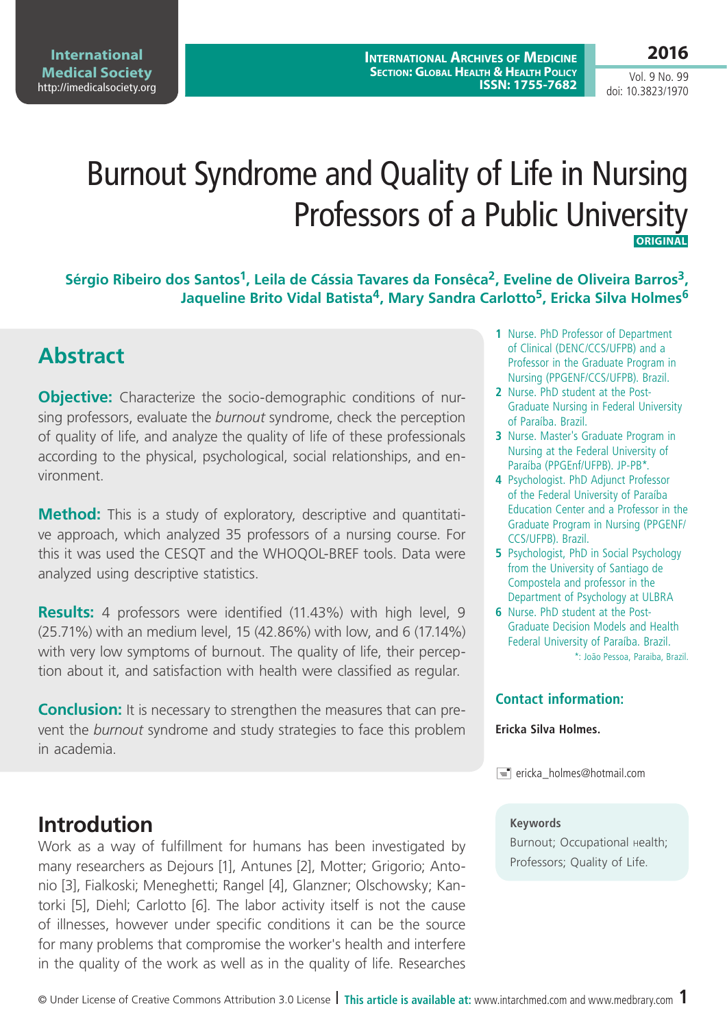Vol. 9 No. 99 doi: 10.3823/1970

# Burnout Syndrome and Quality of Life in Nursing Professors of a Public University  **Original**

Sérgio Ribeiro dos Santos<sup>1</sup>, Leila de Cássia Tavares da Fonsêca<sup>2</sup>, Eveline de Oliveira Barros<sup>3</sup>, **Jaqueline Brito Vidal Batista4, Mary Sandra Carlotto5, Ericka Silva Holmes6**

# **Abstract**

**Objective:** Characterize the socio-demographic conditions of nursing professors, evaluate the *burnout* syndrome, check the perception of quality of life, and analyze the quality of life of these professionals according to the physical, psychological, social relationships, and environment.

**Method:** This is a study of exploratory, descriptive and quantitative approach, which analyzed 35 professors of a nursing course. For this it was used the CESQT and the WHOQOL-BREF tools. Data were analyzed using descriptive statistics.

**Results:** 4 professors were identified (11.43%) with high level, 9 (25.71%) with an medium level, 15 (42.86%) with low, and 6 (17.14%) with very low symptoms of burnout. The quality of life, their perception about it, and satisfaction with health were classified as regular.

**Conclusion:** It is necessary to strengthen the measures that can prevent the *burnout* syndrome and study strategies to face this problem in academia.

### **Introdution**

Work as a way of fulfillment for humans has been investigated by many researchers as Dejours [1], Antunes [2], Motter; Grigorio; Antonio [3], Fialkoski; Meneghetti; Rangel [4], Glanzner; Olschowsky; Kantorki [5], Diehl; Carlotto [6]. The labor activity itself is not the cause of illnesses, however under specific conditions it can be the source for many problems that compromise the worker's health and interfere in the quality of the work as well as in the quality of life. Researches

- **1** Nurse. PhD Professor of Department of Clinical (DENC/CCS/UFPB) and a Professor in the Graduate Program in Nursing (PPGENF/CCS/UFPB). Brazil.
- **2** Nurse. PhD student at the Post-Graduate Nursing in Federal University of Paraíba. Brazil.
- **3** Nurse. Master's Graduate Program in Nursing at the Federal University of Paraíba (PPGEnf/UFPB). JP-PB\*.
- **4** Psychologist. PhD Adjunct Professor of the Federal University of Paraíba Education Center and a Professor in the Graduate Program in Nursing (PPGENF/ CCS/UFPB). Brazil.
- **5** Psychologist, PhD in Social Psychology from the University of Santiago de Compostela and professor in the Department of Psychology at ULBRA
- **6** Nurse. PhD student at the Post-Graduate Decision Models and Health Federal University of Paraíba. Brazil. \*: João Pessoa, Paraiba, Brazil.

### **Contact information:**

#### **Ericka Silva Holmes.**

 $\equiv$  ericka\_holmes@hotmail.com

#### **Keywords**

Burnout; Occupational Health; Professors; Quality of Life.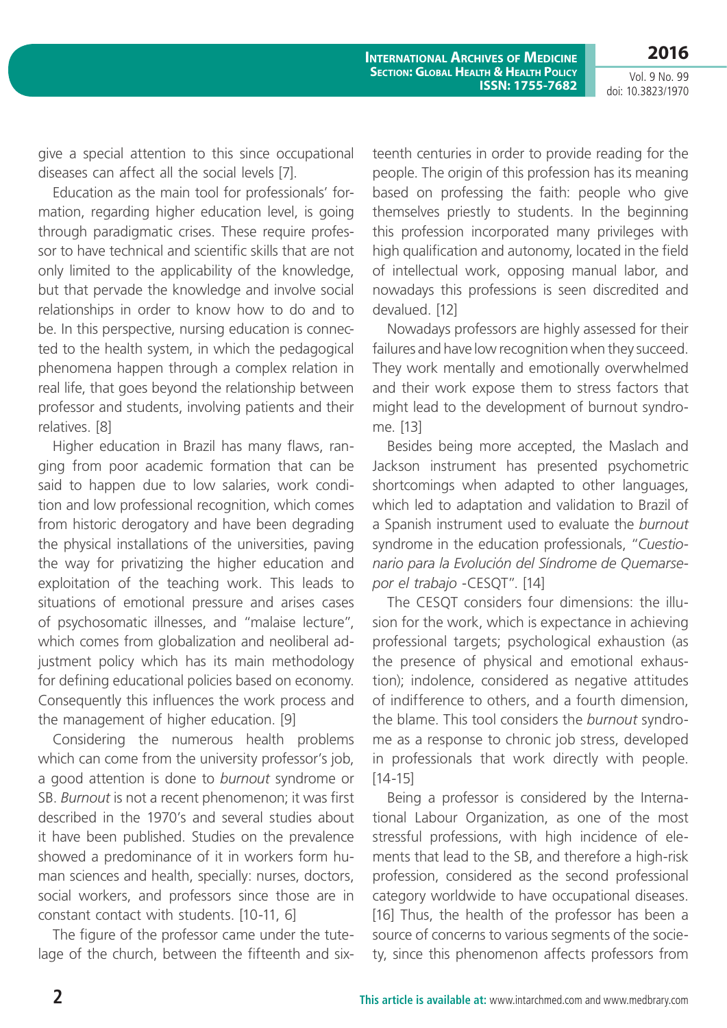**2016**

give a special attention to this since occupational diseases can affect all the social levels [7].

Education as the main tool for professionals' formation, regarding higher education level, is going through paradigmatic crises. These require professor to have technical and scientific skills that are not only limited to the applicability of the knowledge, but that pervade the knowledge and involve social relationships in order to know how to do and to be. In this perspective, nursing education is connected to the health system, in which the pedagogical phenomena happen through a complex relation in real life, that goes beyond the relationship between professor and students, involving patients and their relatives. [8]

Higher education in Brazil has many flaws, ranging from poor academic formation that can be said to happen due to low salaries, work condition and low professional recognition, which comes from historic derogatory and have been degrading the physical installations of the universities, paving the way for privatizing the higher education and exploitation of the teaching work. This leads to situations of emotional pressure and arises cases of psychosomatic illnesses, and "malaise lecture", which comes from globalization and neoliberal adjustment policy which has its main methodology for defining educational policies based on economy. Consequently this influences the work process and the management of higher education. [9]

Considering the numerous health problems which can come from the university professor's job, a good attention is done to *burnout* syndrome or SB. *Burnout* is not a recent phenomenon; it was first described in the 1970's and several studies about it have been published. Studies on the prevalence showed a predominance of it in workers form human sciences and health, specially: nurses, doctors, social workers, and professors since those are in constant contact with students. [10-11, 6]

The figure of the professor came under the tutelage of the church, between the fifteenth and sixteenth centuries in order to provide reading for the people. The origin of this profession has its meaning based on professing the faith: people who give themselves priestly to students. In the beginning this profession incorporated many privileges with high qualification and autonomy, located in the field of intellectual work, opposing manual labor, and nowadays this professions is seen discredited and devalued. [12]

Nowadays professors are highly assessed for their failures and have low recognition when they succeed. They work mentally and emotionally overwhelmed and their work expose them to stress factors that might lead to the development of burnout syndrome. [13]

Besides being more accepted, the Maslach and Jackson instrument has presented psychometric shortcomings when adapted to other languages, which led to adaptation and validation to Brazil of a Spanish instrument used to evaluate the *burnout*  syndrome in the education professionals, "*Cuestionario para la Evolución del Síndrome de Quemarsepor el trabajo* -CESQT". [14]

The CESQT considers four dimensions: the illusion for the work, which is expectance in achieving professional targets; psychological exhaustion (as the presence of physical and emotional exhaustion); indolence, considered as negative attitudes of indifference to others, and a fourth dimension, the blame. This tool considers the *burnout* syndrome as a response to chronic job stress, developed in professionals that work directly with people.  $[14 - 15]$ 

Being a professor is considered by the International Labour Organization, as one of the most stressful professions, with high incidence of elements that lead to the SB, and therefore a high-risk profession, considered as the second professional category worldwide to have occupational diseases. [16] Thus, the health of the professor has been a source of concerns to various segments of the society, since this phenomenon affects professors from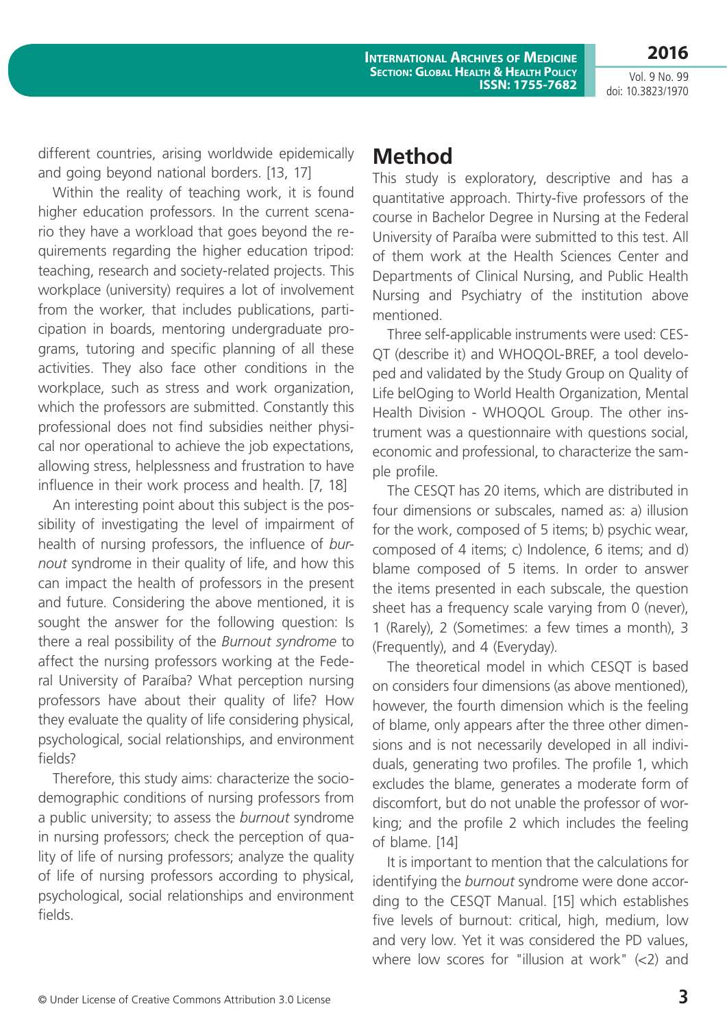Vol. 9 No. 99 doi: 10.3823/1970

**2016**

different countries, arising worldwide epidemically and going beyond national borders. [13, 17]

Within the reality of teaching work, it is found higher education professors. In the current scenario they have a workload that goes beyond the requirements regarding the higher education tripod: teaching, research and society-related projects. This workplace (university) requires a lot of involvement from the worker, that includes publications, participation in boards, mentoring undergraduate programs, tutoring and specific planning of all these activities. They also face other conditions in the workplace, such as stress and work organization, which the professors are submitted. Constantly this professional does not find subsidies neither physical nor operational to achieve the job expectations, allowing stress, helplessness and frustration to have influence in their work process and health. [7, 18]

An interesting point about this subject is the possibility of investigating the level of impairment of health of nursing professors, the influence of *burnout* syndrome in their quality of life, and how this can impact the health of professors in the present and future. Considering the above mentioned, it is sought the answer for the following question: Is there a real possibility of the *Burnout syndrome* to affect the nursing professors working at the Federal University of Paraíba? What perception nursing professors have about their quality of life? How they evaluate the quality of life considering physical, psychological, social relationships, and environment fields?

Therefore, this study aims: characterize the sociodemographic conditions of nursing professors from a public university; to assess the *burnout* syndrome in nursing professors; check the perception of quality of life of nursing professors; analyze the quality of life of nursing professors according to physical, psychological, social relationships and environment fields.

### **Method**

This study is exploratory, descriptive and has a quantitative approach. Thirty-five professors of the course in Bachelor Degree in Nursing at the Federal University of Paraíba were submitted to this test. All of them work at the Health Sciences Center and Departments of Clinical Nursing, and Public Health Nursing and Psychiatry of the institution above mentioned.

Three self-applicable instruments were used: CES-QT (describe it) and WHOQOL-BREF, a tool developed and validated by the Study Group on Quality of Life belOging to World Health Organization, Mental Health Division - WHOQOL Group. The other instrument was a questionnaire with questions social, economic and professional, to characterize the sample profile.

The CESQT has 20 items, which are distributed in four dimensions or subscales, named as: a) illusion for the work, composed of 5 items; b) psychic wear, composed of 4 items; c) Indolence, 6 items; and d) blame composed of 5 items. In order to answer the items presented in each subscale, the question sheet has a frequency scale varying from 0 (never), 1 (Rarely), 2 (Sometimes: a few times a month), 3 (Frequently), and 4 (Everyday).

The theoretical model in which CESQT is based on considers four dimensions (as above mentioned), however, the fourth dimension which is the feeling of blame, only appears after the three other dimensions and is not necessarily developed in all individuals, generating two profiles. The profile 1, which excludes the blame, generates a moderate form of discomfort, but do not unable the professor of working; and the profile 2 which includes the feeling of blame. [14]

It is important to mention that the calculations for identifying the *burnout* syndrome were done according to the CESQT Manual. [15] which establishes five levels of burnout: critical, high, medium, low and very low. Yet it was considered the PD values, where low scores for "illusion at work" (<2) and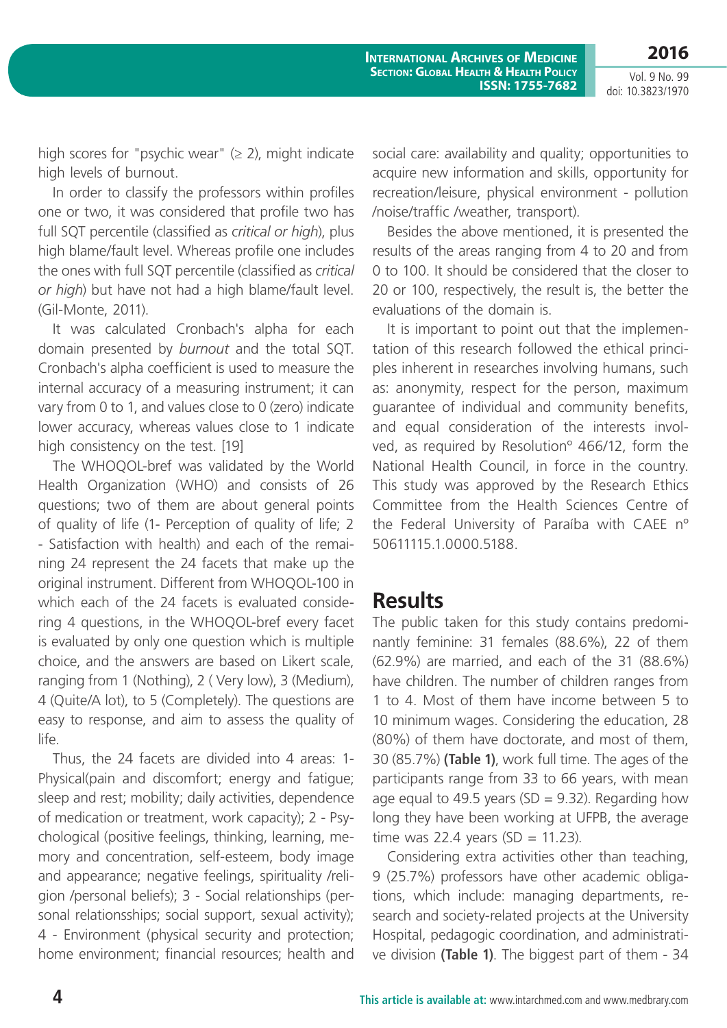**2016** Vol. 9 No. 99

doi: 10.3823/1970

high scores for "psychic wear"  $(≥ 2)$ , might indicate high levels of burnout.

In order to classify the professors within profiles one or two, it was considered that profile two has full SQT percentile (classified as *critical or high*), plus high blame/fault level. Whereas profile one includes the ones with full SQT percentile (classified as *critical or high*) but have not had a high blame/fault level. (Gil-Monte, 2011).

It was calculated Cronbach's alpha for each domain presented by *burnout* and the total SQT. Cronbach's alpha coefficient is used to measure the internal accuracy of a measuring instrument; it can vary from 0 to 1, and values close to 0 (zero) indicate lower accuracy, whereas values close to 1 indicate high consistency on the test. [19]

The WHOQOL-bref was validated by the World Health Organization (WHO) and consists of 26 questions; two of them are about general points of quality of life (1- Perception of quality of life; 2 - Satisfaction with health) and each of the remaining 24 represent the 24 facets that make up the original instrument. Different from WHOQOL-100 in which each of the 24 facets is evaluated considering 4 questions, in the WHOQOL-bref every facet is evaluated by only one question which is multiple choice, and the answers are based on Likert scale, ranging from 1 (Nothing), 2 ( Very low), 3 (Medium), 4 (Quite/A lot), to 5 (Completely). The questions are easy to response, and aim to assess the quality of life.

Thus, the 24 facets are divided into 4 areas: 1- Physical(pain and discomfort; energy and fatigue; sleep and rest; mobility; daily activities, dependence of medication or treatment, work capacity); 2 - Psychological (positive feelings, thinking, learning, memory and concentration, self-esteem, body image and appearance; negative feelings, spirituality /religion /personal beliefs); 3 - Social relationships (personal relationsships; social support, sexual activity); 4 - Environment (physical security and protection; home environment; financial resources; health and social care: availability and quality; opportunities to acquire new information and skills, opportunity for recreation/leisure, physical environment - pollution /noise/traffic /weather, transport).

Besides the above mentioned, it is presented the results of the areas ranging from 4 to 20 and from 0 to 100. It should be considered that the closer to 20 or 100, respectively, the result is, the better the evaluations of the domain is.

It is important to point out that the implementation of this research followed the ethical principles inherent in researches involving humans, such as: anonymity, respect for the person, maximum guarantee of individual and community benefits, and equal consideration of the interests involved, as required by Resolutionº 466/12, form the National Health Council, in force in the country. This study was approved by the Research Ethics Committee from the Health Sciences Centre of the Federal University of Paraíba with CAEE nº 50611115.1.0000.5188.

### **Results**

The public taken for this study contains predominantly feminine: 31 females (88.6%), 22 of them (62.9%) are married, and each of the 31 (88.6%) have children. The number of children ranges from 1 to 4. Most of them have income between 5 to 10 minimum wages. Considering the education, 28 (80%) of them have doctorate, and most of them, 30 (85.7%) **(Table 1)**, work full time. The ages of the participants range from 33 to 66 years, with mean age equal to 49.5 years (SD = 9.32). Regarding how long they have been working at UFPB, the average time was 22.4 years (SD =  $11.23$ ).

Considering extra activities other than teaching, 9 (25.7%) professors have other academic obligations, which include: managing departments, research and society-related projects at the University Hospital, pedagogic coordination, and administrative division **(Table 1)**. The biggest part of them - 34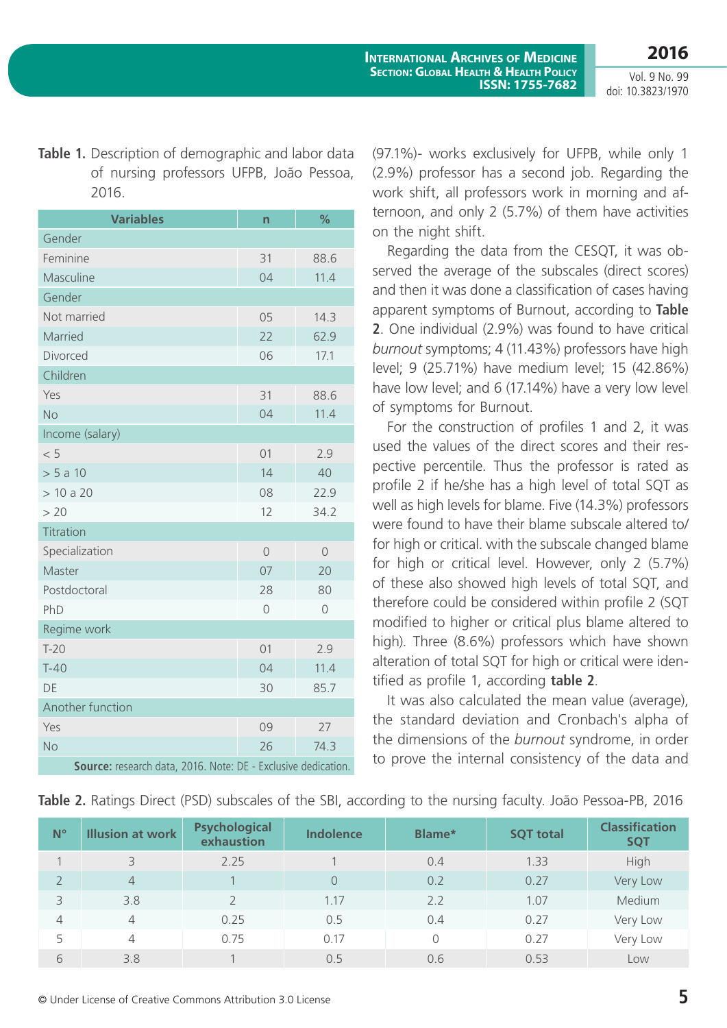**Table 1.** Description of demographic and labor data of nursing professors UFPB, João Pessoa, 2016.

| <b>Variables</b>                                              | n       | %       |
|---------------------------------------------------------------|---------|---------|
| Gender                                                        |         |         |
| Feminine                                                      | 31      | 88.6    |
| Masculine                                                     | 04      | 11.4    |
| Gender                                                        |         |         |
| Not married                                                   | 05      | 14.3    |
| Married                                                       | 22      | 62.9    |
| Divorced                                                      | 06      | 17.1    |
| Children                                                      |         |         |
| Yes                                                           | 31      | 88.6    |
| <b>No</b>                                                     | 04      | 11.4    |
| Income (salary)                                               |         |         |
| < 5                                                           | 01      | 2.9     |
| > 5a10                                                        | 14      | 40      |
| > 10 a 20                                                     | 08      | 22.9    |
| > 20                                                          | 12      | 34.2    |
| Titration                                                     |         |         |
| Specialization                                                | $\circ$ | $\circ$ |
| Master                                                        | 07      | 20      |
| Postdoctoral                                                  | 28      | 80      |
| PhD                                                           | $\circ$ | $\circ$ |
| Regime work                                                   |         |         |
| $T-20$                                                        | 01      | 2.9     |
| $T-40$                                                        | 04      | 11.4    |
| DE                                                            | 30      | 85.7    |
| Another function                                              |         |         |
| Yes                                                           | 09      | 27      |
| <b>No</b>                                                     | 26      | 74.3    |
| Source: research data, 2016. Note: DE - Exclusive dedication. |         |         |

(97.1%)- works exclusively for UFPB, while only 1 (2.9%) professor has a second job. Regarding the work shift, all professors work in morning and afternoon, and only 2 (5.7%) of them have activities on the night shift.

Regarding the data from the CESQT, it was observed the average of the subscales (direct scores) and then it was done a classification of cases having apparent symptoms of Burnout, according to **Table 2**. One individual (2.9%) was found to have critical *burnout* symptoms; 4 (11.43%) professors have high level; 9 (25.71%) have medium level; 15 (42.86%) have low level; and 6 (17.14%) have a very low level of symptoms for Burnout.

For the construction of profiles 1 and 2, it was used the values of the direct scores and their respective percentile. Thus the professor is rated as profile 2 if he/she has a high level of total SQT as well as high levels for blame. Five (14.3%) professors were found to have their blame subscale altered to/ for high or critical. with the subscale changed blame for high or critical level. However, only 2 (5.7%) of these also showed high levels of total SQT, and therefore could be considered within profile 2 (SQT modified to higher or critical plus blame altered to high). Three (8.6%) professors which have shown alteration of total SQT for high or critical were identified as profile 1, according **table 2**.

It was also calculated the mean value (average), the standard deviation and Cronbach's alpha of the dimensions of the *burnout* syndrome, in order to prove the internal consistency of the data and

| Table 2. Ratings Direct (PSD) subscales of the SBI, according to the nursing faculty. João Pessoa-PB, 2016 |  |  |  |  |
|------------------------------------------------------------------------------------------------------------|--|--|--|--|
|------------------------------------------------------------------------------------------------------------|--|--|--|--|

| $N^{\circ}$    | <b>Illusion at work</b> | <b>Psychological</b><br>exhaustion | <b>Indolence</b> | Blame* | <b>SQT total</b> | <b>Classification</b><br><b>SQT</b> |
|----------------|-------------------------|------------------------------------|------------------|--------|------------------|-------------------------------------|
|                | 3                       | 2.25                               |                  | 0.4    | 1.33             | High                                |
| $\overline{2}$ | $\overline{4}$          |                                    | $\overline{0}$   | 0.2    | 0.27             | Very Low                            |
| 3              | 3.8                     | $\mathcal{D}$                      | 1.17             | 2.2    | 1.07             | Medium                              |
| 4              | $\overline{4}$          | 0.25                               | 0.5              | 0.4    | 0.27             | Very Low                            |
| 5              | $\overline{4}$          | 0.75                               | 0.17             | 0      | 0.27             | Very Low                            |
| 6              | 3.8                     |                                    | 0.5              | 0.6    | 0.53             | Low                                 |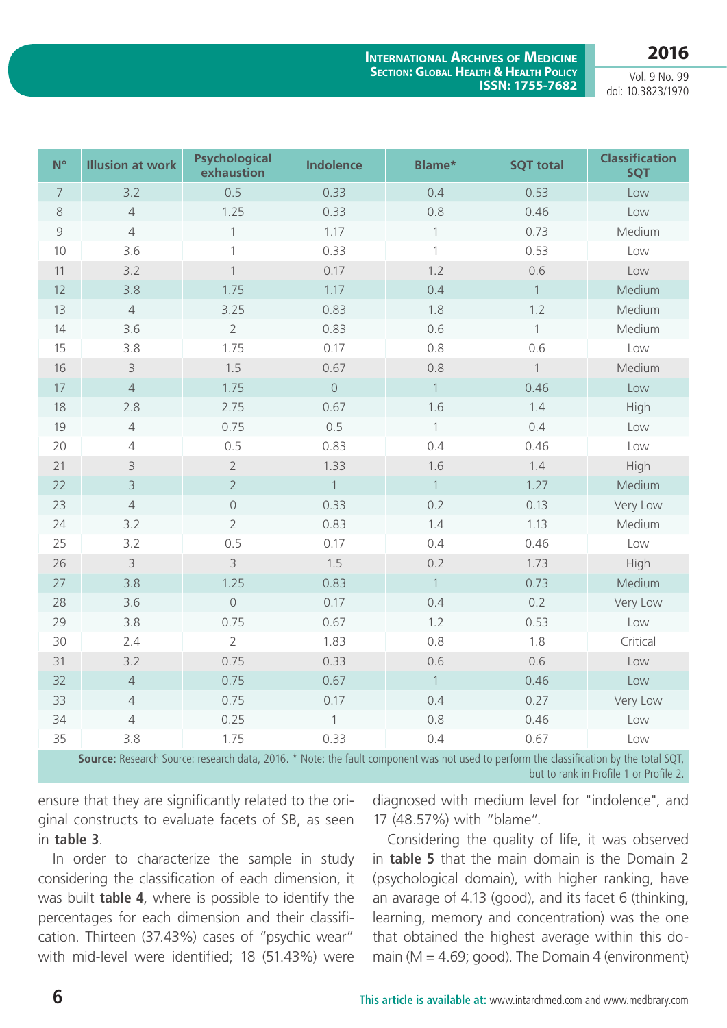**2016**

**International Archives of Medicine Section: Global Health & Health Policy ISSN: 1755-7682**

Vol. 9 No. 99 doi: 10.3823/1970

| $N^{\circ}$    | <b>Illusion at work</b>                                                                                                                | <b>Psychological</b><br>exhaustion | <b>Indolence</b> | Blame*           | <b>SQT total</b> | <b>Classification</b><br><b>SQT</b> |
|----------------|----------------------------------------------------------------------------------------------------------------------------------------|------------------------------------|------------------|------------------|------------------|-------------------------------------|
| $\overline{7}$ | 3.2                                                                                                                                    | 0.5                                | 0.33             | 0.4              | 0.53             | Low                                 |
| $\,8\,$        | $\overline{4}$                                                                                                                         | 1.25                               | 0.33             | 0.8              | 0.46             | Low                                 |
| 9              | $\sqrt{4}$                                                                                                                             | $\mathbf{1}$                       | 1.17             | $\left  \right $ | 0.73             | Medium                              |
| 10             | 3.6                                                                                                                                    | $\mathbf{1}$                       | 0.33             | $\mathbf{1}$     | 0.53             | Low                                 |
| 11             | 3.2                                                                                                                                    | $\mathbf{1}$                       | 0.17             | 1.2              | 0.6              | Low                                 |
| 12             | 3.8                                                                                                                                    | 1.75                               | 1.17             | 0.4              | $\mathbf{1}$     | Medium                              |
| 13             | $\sqrt{4}$                                                                                                                             | 3.25                               | 0.83             | 1.8              | 1.2              | Medium                              |
| 14             | 3.6                                                                                                                                    | $\overline{2}$                     | 0.83             | 0.6              | $\mathbf{1}$     | Medium                              |
| 15             | 3.8                                                                                                                                    | 1.75                               | 0.17             | 0.8              | 0.6              | Low                                 |
| 16             | $\overline{3}$                                                                                                                         | 1.5                                | 0.67             | 0.8              | $\mathbf{1}$     | Medium                              |
| 17             | $\overline{4}$                                                                                                                         | 1.75                               | $\bigcirc$       | $\overline{1}$   | 0.46             | Low                                 |
| 18             | 2.8                                                                                                                                    | 2.75                               | 0.67             | 1.6              | 1.4              | High                                |
| 19             | $\overline{4}$                                                                                                                         | 0.75                               | 0.5              | $\overline{1}$   | 0.4              | Low                                 |
| 20             | $\sqrt{4}$                                                                                                                             | 0.5                                | 0.83             | 0.4              | 0.46             | Low                                 |
| 21             | 3                                                                                                                                      | $\overline{2}$                     | 1.33             | 1.6              | 1.4              | High                                |
| 22             | $\mathsf 3$                                                                                                                            | $\overline{2}$                     | $\mathbf{1}$     | $\overline{1}$   | 1.27             | Medium                              |
| 23             | $\sqrt{4}$                                                                                                                             | $\bigcirc$                         | 0.33             | 0.2              | 0.13             | Very Low                            |
| 24             | 3.2                                                                                                                                    | $\overline{2}$                     | 0.83             | 1.4              | 1.13             | Medium                              |
| 25             | 3.2                                                                                                                                    | 0.5                                | 0.17             | 0.4              | 0.46             | Low                                 |
| 26             | $\mathsf 3$                                                                                                                            | $\mathsf{B}$                       | 1.5              | 0.2              | 1.73             | High                                |
| 27             | 3.8                                                                                                                                    | 1.25                               | 0.83             | $\overline{1}$   | 0.73             | Medium                              |
| 28             | 3.6                                                                                                                                    | $\bigcirc$                         | 0.17             | 0.4              | 0.2              | Very Low                            |
| 29             | 3.8                                                                                                                                    | 0.75                               | 0.67             | 1.2              | 0.53             | Low                                 |
| 30             | 2.4                                                                                                                                    | $\overline{2}$                     | 1.83             | 0.8              | 1.8              | Critical                            |
| 31             | 3.2                                                                                                                                    | 0.75                               | 0.33             | 0.6              | 0.6              | Low                                 |
| 32             | $\sqrt{4}$                                                                                                                             | 0.75                               | 0.67             | $\overline{1}$   | 0.46             | Low                                 |
| 33             | $\overline{4}$                                                                                                                         | 0.75                               | 0.17             | 0.4              | 0.27             | Very Low                            |
| 34             | $\overline{4}$                                                                                                                         | 0.25                               | $\mathbf{1}$     | 0.8              | 0.46             | Low                                 |
| 35             | 3.8                                                                                                                                    | 1.75                               | 0.33             | 0.4              | 0.67             | Low                                 |
|                | Source: Research Source: research data, 2016. * Note: the fault component was not used to perform the classification by the total SQT, |                                    |                  |                  |                  |                                     |

but to rank in Profile 1 or Profile 2.

ensure that they are significantly related to the original constructs to evaluate facets of SB, as seen in **table 3**.

In order to characterize the sample in study considering the classification of each dimension, it was built **table 4**, where is possible to identify the percentages for each dimension and their classification. Thirteen (37.43%) cases of "psychic wear" with mid-level were identified; 18 (51.43%) were diagnosed with medium level for "indolence", and 17 (48.57%) with "blame".

Considering the quality of life, it was observed in **table 5** that the main domain is the Domain 2 (psychological domain), with higher ranking, have an avarage of 4.13 (good), and its facet 6 (thinking, learning, memory and concentration) was the one that obtained the highest average within this domain ( $M = 4.69$ ; good). The Domain 4 (environment)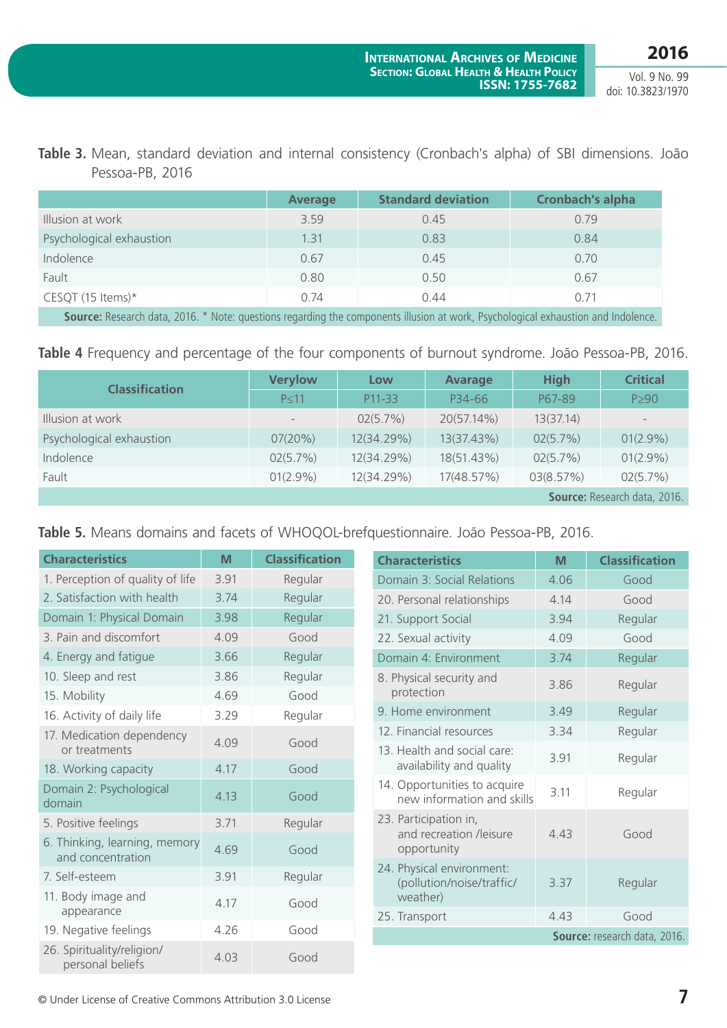|  |                 |  |  |  |  | Table 3. Mean, standard deviation and internal consistency (Cronbach's alpha) of SBI dimensions. João |  |
|--|-----------------|--|--|--|--|-------------------------------------------------------------------------------------------------------|--|
|  | Pessoa-PB, 2016 |  |  |  |  |                                                                                                       |  |

|                                                                                                                              | <b>Average</b> | <b>Standard deviation</b> | <b>Cronbach's alpha</b> |
|------------------------------------------------------------------------------------------------------------------------------|----------------|---------------------------|-------------------------|
| Illusion at work                                                                                                             | 3.59           | 0.45                      | 0.79                    |
| Psychological exhaustion                                                                                                     | 1.31           | 0.83                      | 0.84                    |
| Indolence                                                                                                                    | 0.67           | 0.45                      | 0.70                    |
| Fault                                                                                                                        | 0.80           | 0.50                      | 0.67                    |
| CESQT (15 Items) $*$                                                                                                         | 0.74           | 0.44                      | 0.71                    |
| Carriere Desearch data. 2010, * Nataranadiana venezulian the componente illusion et way Developmed avbarration and hedelenes |                |                           |                         |

**Source:** Research data, 2016. \* Note: questions regarding the components illusion at work, Psychological exhaustion and Indolence.

|  |  |  |  |  |  | Table 4 Frequency and percentage of the four components of burnout syndrome. João Pessoa-PB, 2016. |  |  |
|--|--|--|--|--|--|----------------------------------------------------------------------------------------------------|--|--|
|--|--|--|--|--|--|----------------------------------------------------------------------------------------------------|--|--|

|                          | <b>Verylow</b> | Low        | <b>Avarage</b> | <b>High</b> | <b>Critical</b>              |
|--------------------------|----------------|------------|----------------|-------------|------------------------------|
| <b>Classification</b>    | $P \leq 11$    | P11-33     | P34-66         | P67-89      | $P \geq 90$                  |
| Illusion at work         | $-$            | 02(5.7%)   | 20(57.14%)     | 13(37.14)   | $\overline{\phantom{a}}$     |
| Psychological exhaustion | 07(20%)        | 12(34.29%) | 13(37.43%)     | 02(5.7%)    | $01(2.9\%)$                  |
| Indolence                | 02(5.7%)       | 12(34.29%) | 18(51.43%)     | 02(5.7%)    | $01(2.9\%)$                  |
| Fault                    | $01(2.9\%)$    | 12(34.29%) | 17(48.57%)     | 03(8.57%)   | 02(5.7%)                     |
|                          |                |            |                |             | Source: Research data, 2016. |

**Table 5.** Means domains and facets of WHOQOL-brefquestionnaire. João Pessoa-PB, 2016.

| <b>Characteristics</b>                             | M    | <b>Classification</b> | <b>Characteristics</b>                                     | M    | <b>Classification</b>        |
|----------------------------------------------------|------|-----------------------|------------------------------------------------------------|------|------------------------------|
| 1. Perception of quality of life                   | 3.91 | Regular               | Domain 3: Social Relations                                 | 4.06 | Good                         |
| 2. Satisfaction with health                        | 3.74 | Regular               | 20. Personal relationships                                 | 4.14 | Good                         |
| Domain 1: Physical Domain                          | 3.98 | Regular               | 21. Support Social                                         | 3.94 | Regular                      |
| 3. Pain and discomfort                             | 4.09 | Good                  | 22. Sexual activity                                        | 4.09 | Good                         |
| 4. Energy and fatigue                              | 3.66 | Regular               | Domain 4: Environment                                      | 3.74 | Regular                      |
| 10. Sleep and rest                                 | 3.86 | Regular               | 8. Physical security and                                   | 3.86 | Regular                      |
| 15. Mobility                                       | 4.69 | Good                  | protection                                                 |      |                              |
| 16. Activity of daily life                         | 3.29 | Regular               | 9. Home environment                                        | 3.49 | Regular                      |
| 17. Medication dependency                          | 4.09 | Good                  | 12. Financial resources                                    | 3.34 | Regular                      |
| or treatments                                      |      |                       | 13. Health and social care:                                | 3.91 | Regular                      |
| 18. Working capacity                               | 4.17 | Good                  | availability and quality                                   |      |                              |
| Domain 2: Psychological<br>domain                  | 4.13 | Good                  | 14. Opportunities to acquire<br>new information and skills | 3.11 | Regular                      |
| 5. Positive feelings                               | 3.71 | Regular               | 23. Participation in,                                      |      |                              |
| 6. Thinking, learning, memory<br>and concentration | 4.69 | Good                  | and recreation /leisure<br>opportunity                     | 4.43 | Good                         |
| 7. Self-esteem                                     | 3.91 | Regular               | 24. Physical environment:<br>(pollution/noise/traffic/     | 3.37 | Regular                      |
| 11. Body image and                                 |      |                       | weather)                                                   |      |                              |
| appearance                                         | 4.17 | Good                  | 25. Transport                                              | 4.43 | Good                         |
| 19. Negative feelings                              | 4.26 | Good                  |                                                            |      | Source: research data, 2016. |
| 26. Spirituality/religion/<br>personal beliefs     | 4.03 | Good                  |                                                            |      |                              |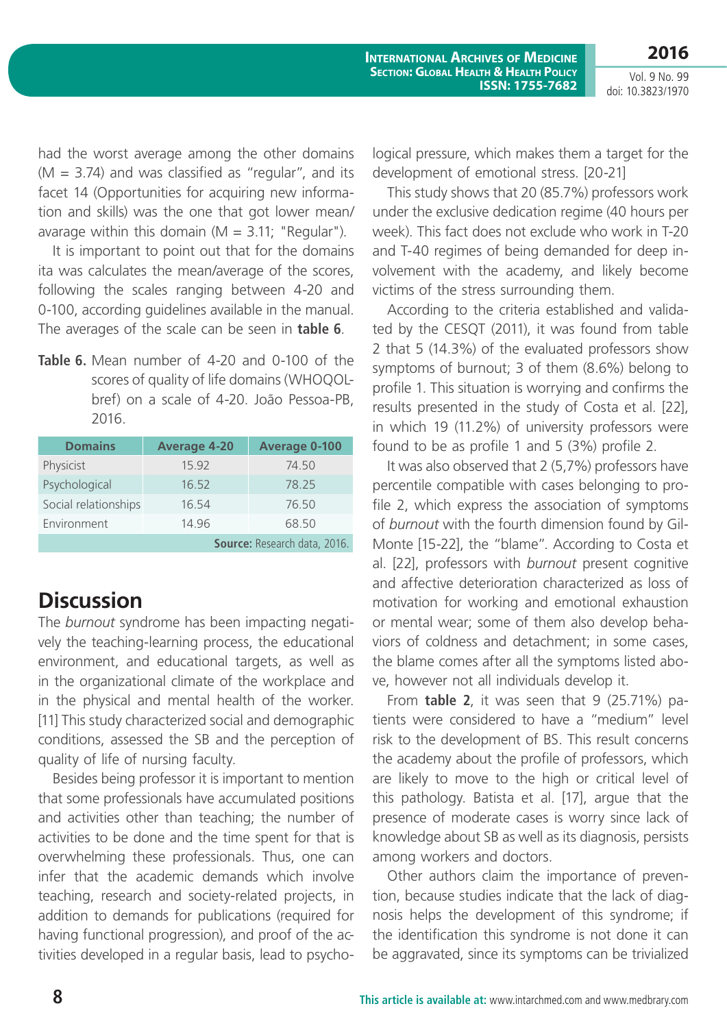Vol. 9 No. 99 doi: 10.3823/1970

**2016**

had the worst average among the other domains  $(M = 3.74)$  and was classified as "regular", and its facet 14 (Opportunities for acquiring new information and skills) was the one that got lower mean/ avarage within this domain ( $M = 3.11$ ; "Regular").

It is important to point out that for the domains ita was calculates the mean/average of the scores, following the scales ranging between 4-20 and 0-100, according guidelines available in the manual. The averages of the scale can be seen in **table 6**.

**Table 6.** Mean number of 4-20 and 0-100 of the scores of quality of life domains (WHOQOLbref) on a scale of 4-20. João Pessoa-PB, 2016.

| <b>Domains</b>       | <b>Average 4-20</b>          | <b>Average 0-100</b> |  |  |  |
|----------------------|------------------------------|----------------------|--|--|--|
| Physicist            | 15.92                        | 74.50                |  |  |  |
| Psychological        | 16.52                        | 78.25                |  |  |  |
| Social relationships | 16.54                        | 76.50                |  |  |  |
| Environment          | 14.96                        | 68.50                |  |  |  |
|                      | Source: Research data, 2016. |                      |  |  |  |

# **Discussion**

The *burnout* syndrome has been impacting negatively the teaching-learning process, the educational environment, and educational targets, as well as in the organizational climate of the workplace and in the physical and mental health of the worker. [11] This study characterized social and demographic conditions, assessed the SB and the perception of quality of life of nursing faculty.

Besides being professor it is important to mention that some professionals have accumulated positions and activities other than teaching; the number of activities to be done and the time spent for that is overwhelming these professionals. Thus, one can infer that the academic demands which involve teaching, research and society-related projects, in addition to demands for publications (required for having functional progression), and proof of the activities developed in a regular basis, lead to psychological pressure, which makes them a target for the development of emotional stress. [20-21]

This study shows that 20 (85.7%) professors work under the exclusive dedication regime (40 hours per week). This fact does not exclude who work in T-20 and T-40 regimes of being demanded for deep involvement with the academy, and likely become victims of the stress surrounding them.

According to the criteria established and validated by the CESQT (2011), it was found from table 2 that 5 (14.3%) of the evaluated professors show symptoms of burnout; 3 of them (8.6%) belong to profile 1. This situation is worrying and confirms the results presented in the study of Costa et al. [22], in which 19 (11.2%) of university professors were found to be as profile 1 and 5 (3%) profile 2.

It was also observed that 2 (5,7%) professors have percentile compatible with cases belonging to profile 2, which express the association of symptoms of *burnout* with the fourth dimension found by Gil-Monte [15-22], the "blame". According to Costa et al. [22], professors with *burnout* present cognitive and affective deterioration characterized as loss of motivation for working and emotional exhaustion or mental wear; some of them also develop behaviors of coldness and detachment; in some cases, the blame comes after all the symptoms listed above, however not all individuals develop it.

From **table 2**, it was seen that 9 (25.71%) patients were considered to have a "medium" level risk to the development of BS. This result concerns the academy about the profile of professors, which are likely to move to the high or critical level of this pathology. Batista et al. [17], argue that the presence of moderate cases is worry since lack of knowledge about SB as well as its diagnosis, persists among workers and doctors.

Other authors claim the importance of prevention, because studies indicate that the lack of diagnosis helps the development of this syndrome; if the identification this syndrome is not done it can be aggravated, since its symptoms can be trivialized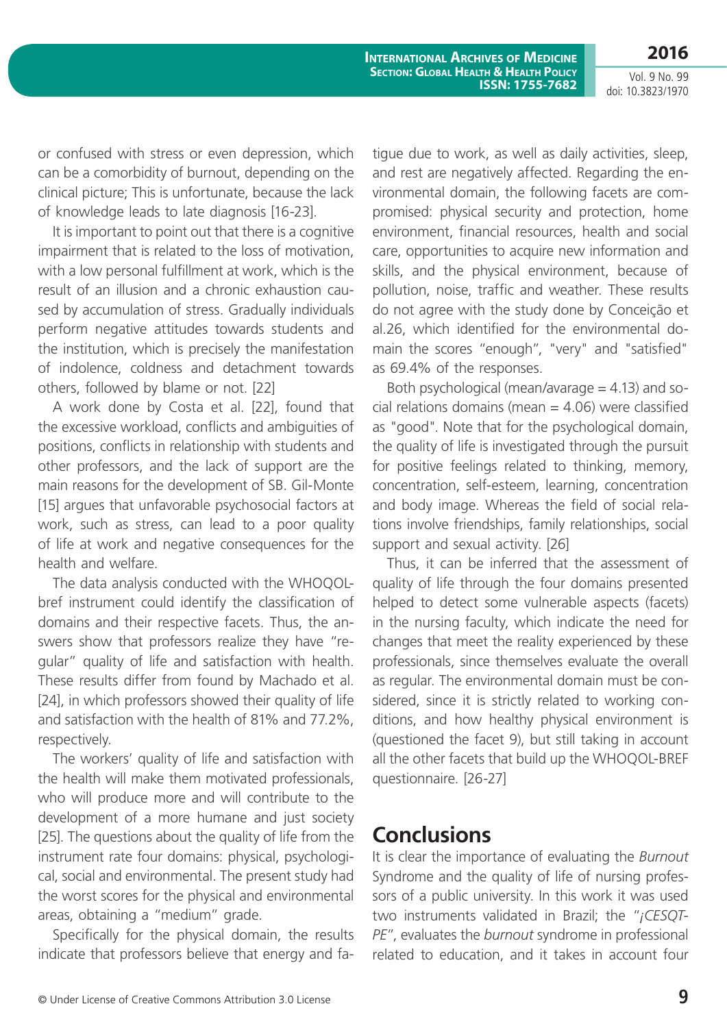**2016**

**International Archives of Medicine Section: Global Health & Health Policy ISSN: 1755-7682**

or confused with stress or even depression, which can be a comorbidity of burnout, depending on the clinical picture; This is unfortunate, because the lack of knowledge leads to late diagnosis [16-23].

It is important to point out that there is a cognitive impairment that is related to the loss of motivation, with a low personal fulfillment at work, which is the result of an illusion and a chronic exhaustion caused by accumulation of stress. Gradually individuals perform negative attitudes towards students and the institution, which is precisely the manifestation of indolence, coldness and detachment towards others, followed by blame or not. [22]

A work done by Costa et al. [22], found that the excessive workload, conflicts and ambiguities of positions, conflicts in relationship with students and other professors, and the lack of support are the main reasons for the development of SB. Gil-Monte [15] argues that unfavorable psychosocial factors at work, such as stress, can lead to a poor quality of life at work and negative consequences for the health and welfare.

The data analysis conducted with the WHOQOLbref instrument could identify the classification of domains and their respective facets. Thus, the answers show that professors realize they have "regular" quality of life and satisfaction with health. These results differ from found by Machado et al. [24], in which professors showed their quality of life and satisfaction with the health of 81% and 77.2%, respectively.

The workers' quality of life and satisfaction with the health will make them motivated professionals, who will produce more and will contribute to the development of a more humane and just society [25]. The questions about the quality of life from the instrument rate four domains: physical, psychological, social and environmental. The present study had the worst scores for the physical and environmental areas, obtaining a "medium" grade.

Specifically for the physical domain, the results indicate that professors believe that energy and fatigue due to work, as well as daily activities, sleep, and rest are negatively affected. Regarding the environmental domain, the following facets are compromised: physical security and protection, home environment, financial resources, health and social care, opportunities to acquire new information and skills, and the physical environment, because of pollution, noise, traffic and weather. These results do not agree with the study done by Conceição et al.26, which identified for the environmental domain the scores "enough", "very" and "satisfied" as 69.4% of the responses.

Both psychological (mean/avarage  $=$  4.13) and social relations domains (mean  $=$  4.06) were classified as "good". Note that for the psychological domain, the quality of life is investigated through the pursuit for positive feelings related to thinking, memory, concentration, self-esteem, learning, concentration and body image. Whereas the field of social relations involve friendships, family relationships, social support and sexual activity. [26]

Thus, it can be inferred that the assessment of quality of life through the four domains presented helped to detect some vulnerable aspects (facets) in the nursing faculty, which indicate the need for changes that meet the reality experienced by these professionals, since themselves evaluate the overall as regular. The environmental domain must be considered, since it is strictly related to working conditions, and how healthy physical environment is (questioned the facet 9), but still taking in account all the other facets that build up the WHOQOL-BREF questionnaire. [26-27]

# **Conclusions**

It is clear the importance of evaluating the *Burnout*  Syndrome and the quality of life of nursing professors of a public university. In this work it was used two instruments validated in Brazil; the "*¡CESQT-PE*", evaluates the *burnout* syndrome in professional related to education, and it takes in account four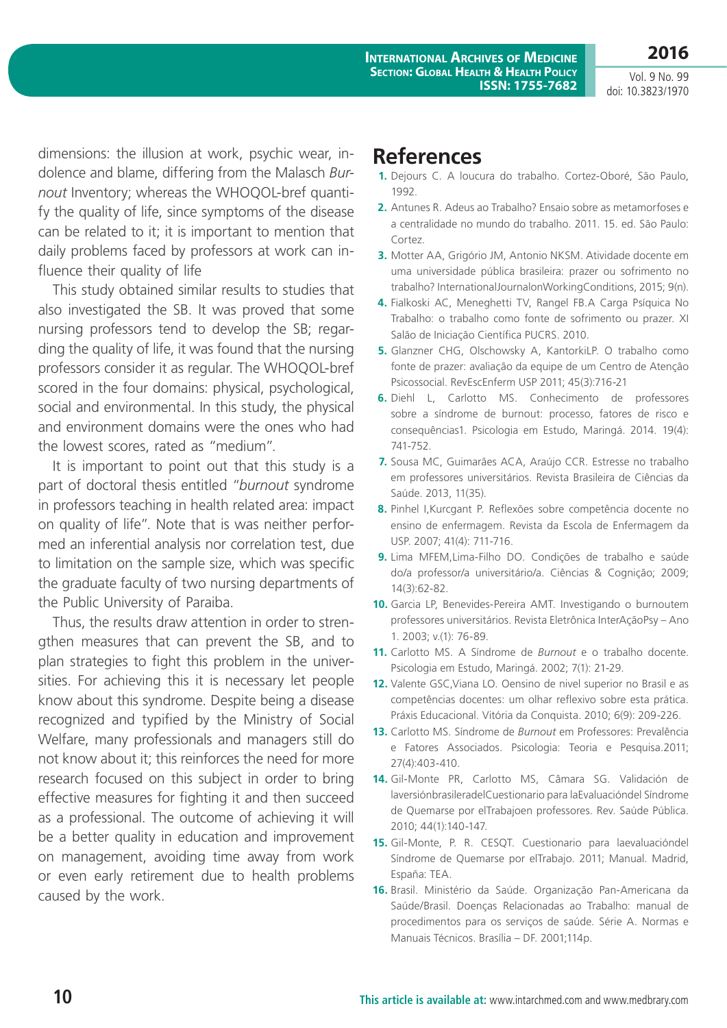**INTERNATIONAL ARCHIVES OF MEDICINE Section: Global Health & Health Policy ISSN: 1755-7682**

Vol. 9 No. 99 doi: 10.3823/1970

**2016**

dimensions: the illusion at work, psychic wear, indolence and blame, differing from the Malasch *Burnout* Inventory; whereas the WHOQOL-bref quantify the quality of life, since symptoms of the disease can be related to it; it is important to mention that daily problems faced by professors at work can influence their quality of life

This study obtained similar results to studies that also investigated the SB. It was proved that some nursing professors tend to develop the SB; regarding the quality of life, it was found that the nursing professors consider it as regular. The WHOQOL-bref scored in the four domains: physical, psychological, social and environmental. In this study, the physical and environment domains were the ones who had the lowest scores, rated as "medium".

It is important to point out that this study is a part of doctoral thesis entitled "*burnout* syndrome in professors teaching in health related area: impact on quality of life". Note that is was neither performed an inferential analysis nor correlation test, due to limitation on the sample size, which was specific the graduate faculty of two nursing departments of the Public University of Paraiba.

Thus, the results draw attention in order to strengthen measures that can prevent the SB, and to plan strategies to fight this problem in the universities. For achieving this it is necessary let people know about this syndrome. Despite being a disease recognized and typified by the Ministry of Social Welfare, many professionals and managers still do not know about it; this reinforces the need for more research focused on this subject in order to bring effective measures for fighting it and then succeed as a professional. The outcome of achieving it will be a better quality in education and improvement on management, avoiding time away from work or even early retirement due to health problems caused by the work.

# **References**

- **1.** Dejours C. A loucura do trabalho. Cortez-Oboré, São Paulo, 1992.
- **2.** Antunes R. Adeus ao Trabalho? Ensaio sobre as metamorfoses e a centralidade no mundo do trabalho. 2011. 15. ed. São Paulo: Cortez.
- **3.** Motter AA, Grigório JM, Antonio NKSM. Atividade docente em uma universidade pública brasileira: prazer ou sofrimento no trabalho? InternationalJournalonWorkingConditions, 2015; 9(n).
- **4.** Fialkoski AC, Meneghetti TV, Rangel FB.A Carga Psíquica No Trabalho: o trabalho como fonte de sofrimento ou prazer. XI Salão de Iniciação Científica PUCRS. 2010.
- **5.** Glanzner CHG, Olschowsky A, KantorkiLP. O trabalho como fonte de prazer: avaliação da equipe de um Centro de Atenção Psicossocial. RevEscEnferm USP 2011; 45(3):716-21
- **6.** Diehl L, Carlotto MS. Conhecimento de professores sobre a síndrome de burnout: processo, fatores de risco e consequências1. Psicologia em Estudo, Maringá. 2014. 19(4): 741-752.
- **7.** Sousa MC, Guimarães ACA, Araújo CCR. Estresse no trabalho em professores universitários. Revista Brasileira de Ciências da Saúde. 2013, 11(35).
- **8.** Pinhel I,Kurcgant P. Reflexões sobre competência docente no ensino de enfermagem. Revista da Escola de Enfermagem da USP. 2007; 41(4): 711-716.
- **9.** Lima MFEM,Lima-Filho DO. Condições de trabalho e saúde do/a professor/a universitário/a. Ciências & Cognição; 2009; 14(3):62-82.
- **10.** Garcia LP, Benevides-Pereira AMT. Investigando o burnoutem professores universitários. Revista Eletrônica InterAçãoPsy – Ano 1. 2003; v.(1): 76-89.
- **11.** Carlotto MS. A Síndrome de *Burnout* e o trabalho docente. Psicologia em Estudo, Maringá. 2002; 7(1): 21-29.
- **12.** Valente GSC,Viana LO. Oensino de nivel superior no Brasil e as competências docentes: um olhar reflexivo sobre esta prática. Práxis Educacional. Vitória da Conquista. 2010; 6(9): 209-226.
- **13.** Carlotto MS. Síndrome de *Burnout* em Professores: Prevalência e Fatores Associados. Psicologia: Teoria e Pesquisa.2011; 27(4):403-410.
- **14.** Gil-Monte PR, Carlotto MS, Câmara SG. Validación de laversiónbrasileradelCuestionario para laEvaluacióndel Síndrome de Quemarse por elTrabajoen professores. Rev. Saúde Pública. 2010; 44(1):140-147.
- **15.** Gil-Monte, P. R. CESQT. Cuestionario para laevaluacióndel Síndrome de Quemarse por elTrabajo. 2011; Manual. Madrid, España: TEA.
- **16.** Brasil. Ministério da Saúde. Organização Pan-Americana da Saúde/Brasil. Doenças Relacionadas ao Trabalho: manual de procedimentos para os serviços de saúde. Série A. Normas e Manuais Técnicos. Brasília – DF. 2001;114p.